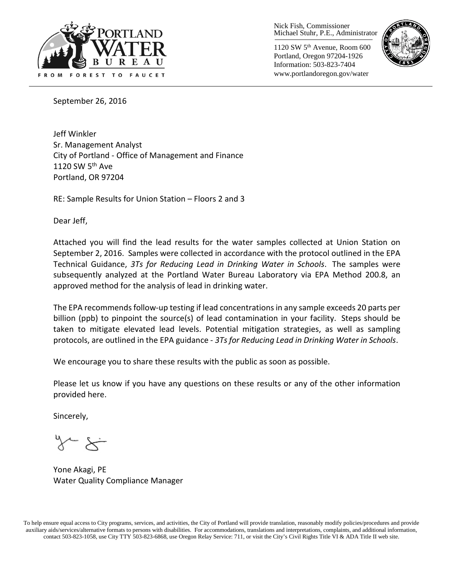

Nick Fish, Commissioner Michael Stuhr, P.E., Administrator

1120 SW 5th Avenue, Room 600 Portland, Oregon 97204-1926 Information: 503-823-7404 www.portlandoregon.gov/water



September 26, 2016

Jeff Winkler Sr. Management Analyst City of Portland - Office of Management and Finance 1120 SW  $5<sup>th</sup>$  Ave Portland, OR 97204

RE: Sample Results for Union Station – Floors 2 and 3

Dear Jeff,

Attached you will find the lead results for the water samples collected at Union Station on September 2, 2016. Samples were collected in accordance with the protocol outlined in the EPA Technical Guidance, *3Ts for Reducing Lead in Drinking Water in Schools*. The samples were subsequently analyzed at the Portland Water Bureau Laboratory via EPA Method 200.8, an approved method for the analysis of lead in drinking water.

The EPA recommends follow-up testing if lead concentrations in any sample exceeds 20 parts per billion (ppb) to pinpoint the source(s) of lead contamination in your facility. Steps should be taken to mitigate elevated lead levels. Potential mitigation strategies, as well as sampling protocols, are outlined in the EPA guidance - *3Ts for Reducing Lead in Drinking Water in Schools*.

We encourage you to share these results with the public as soon as possible.

Please let us know if you have any questions on these results or any of the other information provided here.

Sincerely,

Yone Akagi, PE Water Quality Compliance Manager

To help ensure equal access to City programs, services, and activities, the City of Portland will provide translation, reasonably modify policies/procedures and provide auxiliary aids/services/alternative formats to persons with disabilities. For accommodations, translations and interpretations, complaints, and additional information, contact 503-823-1058, use City TTY 503-823-6868, use Oregon Relay Service: 711, or visi[t the City's Civil Rights Title VI & ADA Title II web site.](http://www.portlandoregon.gov/oehr/66458)